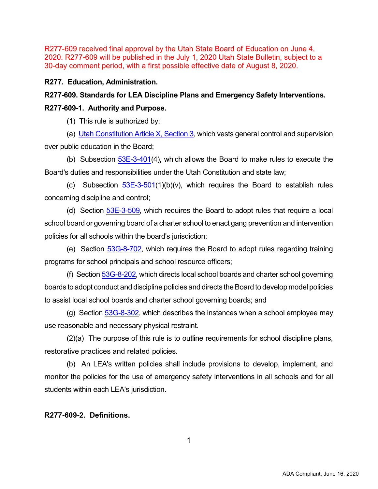### **R277. Education, Administration.**

# **R277-609. Standards for LEA Discipline Plans and Emergency Safety Interventions.**

### **R277-609-1. Authority and Purpose.**

(1) This rule is authorized by:

(a) [Utah Constitution Article X, Section 3](https://le.utah.gov/xcode/Articlex/UC_AX_1800010118000101.pdf), which vests general control and supervision over public education in the Board;

(b) Subsection  $53E-3-401(4)$  $53E-3-401(4)$ , which allows the Board to make rules to execute the Board's duties and responsibilities under the Utah Constitution and state law;

(c) Subsection  $53E-3-501(1)(b)(v)$  $53E-3-501(1)(b)(v)$ , which requires the Board to establish rules concerning discipline and control;

(d) Section **[53E-3-509](https://le.utah.gov/xcode/Title53E/Chapter3/53E-3-S509.html?v=C53E-3-S509_2019051420190514)**, which requires the Board to adopt rules that require a local school board or governing board of a charter school to enact gang prevention and intervention policies for all schools within the board's jurisdiction;

(e) Section [53G-8-702,](https://le.utah.gov/xcode/Title53G/Chapter8/53G-8-S702.html?v=C53G-8-S702_2019051420190514) which requires the Board to adopt rules regarding training programs for school principals and school resource officers;

(f) Section [53G-8-202,](https://le.utah.gov/xcode/Title53G/Chapter8/53G-8-S202.html?v=C53G-8-S202_2019051420190514) which directs local school boards and charter school governing boards to adopt conduct and discipline policies and directs the Board to develop model policies to assist local school boards and charter school governing boards; and

(g) Section [53G-8-302,](https://le.utah.gov/xcode/Title53G/Chapter8/53G-8-S202.html?v=C53G-8-S202_2019051420190514) which describes the instances when a school employee may use reasonable and necessary physical restraint.

 (2)(a) The purpose of this rule is to outline requirements for school discipline plans, restorative practices and related policies.

 (b) An LEA's written policies shall include provisions to develop, implement, and monitor the policies for the use of emergency safety interventions in all schools and for all students within each LEA's jurisdiction.

### **R277-609-2. Definitions.**

1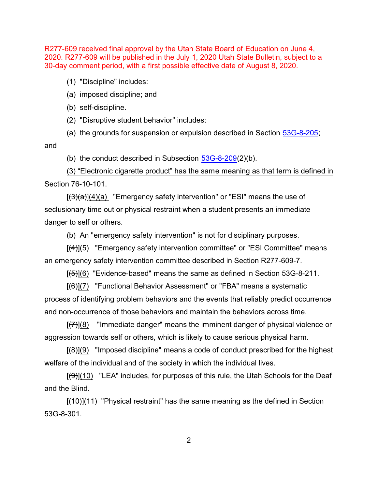(1) "Discipline" includes:

(a) imposed discipline; and

(b) self-discipline.

(2) "Disruptive student behavior" includes:

(a) the grounds for suspension or expulsion described in Section [53G-8-205](https://le.utah.gov/xcode/Title53G/Chapter8/53G-8-S205.html?v=C53G-8-S205_2019051420190514);

and

(b) the conduct described in Subsection  $53G-8-209(2)(b)$  $53G-8-209(2)(b)$ .

(3) "Electronic cigarette product" has the same meaning as that term is defined in Section 76-10-101.

 $[(3)(a)]$ (4)(a) "Emergency safety intervention" or "ESI" means the use of seclusionary time out or physical restraint when a student presents an immediate danger to self or others.

(b) An "emergency safety intervention" is not for disciplinary purposes.

 $[(4)](5)$  "Emergency safety intervention committee" or "ESI Committee" means an emergency safety intervention committee described in Section R277-609-7.

 $[(5)](6)$  "Evidence-based" means the same as defined in Section 53G-8-211.

[(6)](7) "Functional Behavior Assessment" or "FBA" means a systematic process of identifying problem behaviors and the events that reliably predict occurrence and non-occurrence of those behaviors and maintain the behaviors across time.

 $[(7)](8)$  "Immediate danger" means the imminent danger of physical violence or aggression towards self or others, which is likely to cause serious physical harm.

 $[68]$ (9) "Imposed discipline" means a code of conduct prescribed for the highest welfare of the individual and of the society in which the individual lives.

 $[(9)](10)$  "LEA" includes, for purposes of this rule, the Utah Schools for the Deaf and the Blind.

 $[(10)(11)]$  "Physical restraint" has the same meaning as the defined in Section 53G-8-301.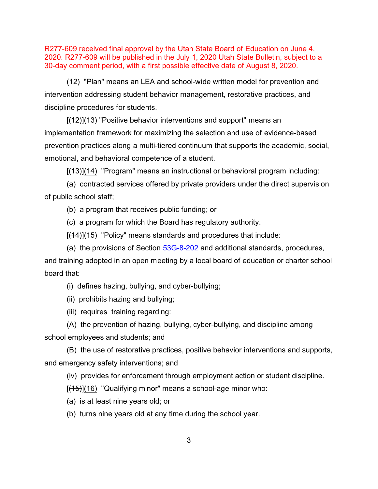(12) "Plan" means an LEA and school-wide written model for prevention and intervention addressing student behavior management, restorative practices, and discipline procedures for students.

 $[(12)]$ (13) "Positive behavior interventions and support" means an implementation framework for maximizing the selection and use of evidence-based prevention practices along a multi-tiered continuum that supports the academic, social, emotional, and behavioral competence of a student.

 $[$ (<del>13)</del>](14) "Program" means an instructional or behavioral program including:

(a) contracted services offered by private providers under the direct supervision of public school staff;

(b) a program that receives public funding; or

(c) a program for which the Board has regulatory authority.

 $[(14)]$ (15) "Policy" means standards and procedures that include:

(a) the provisions of Section [53G-8-202](https://le.utah.gov/xcode/Title53G/Chapter8/53G-8-S202.html?v=C53G-8-S202_2019051420190514) and additional standards, procedures, and training adopted in an open meeting by a local board of education or charter school board that:

(i) defines hazing, bullying, and cyber-bullying;

(ii) prohibits hazing and bullying;

(iii) requires training regarding:

(A) the prevention of hazing, bullying, cyber-bullying, and discipline among school employees and students; and

(B) the use of restorative practices, positive behavior interventions and supports, and emergency safety interventions; and

(iv) provides for enforcement through employment action or student discipline.

 $[(15)](16)$  "Qualifying minor" means a school-age minor who:

(a) is at least nine years old; or

(b) turns nine years old at any time during the school year.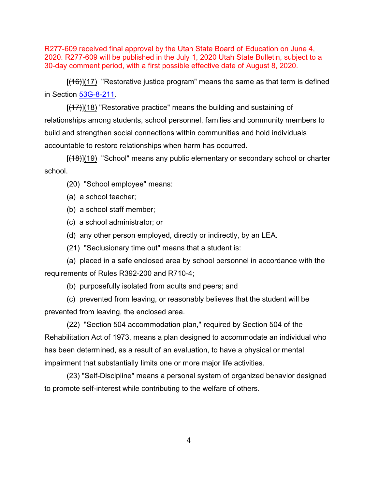$[(16)](17)$  "Restorative justice program" means the same as that term is defined in Section [53G-8-211](https://le.utah.gov/xcode/Title53G/Chapter8/53G-8-S211.html?v=C53G-8-S211_2019051420190514).

 $[(17)](18)$  "Restorative practice" means the building and sustaining of relationships among students, school personnel, families and community members to build and strengthen social connections within communities and hold individuals accountable to restore relationships when harm has occurred.

[(18)](19) "School" means any public elementary or secondary school or charter school.

(20) "School employee" means:

(a) a school teacher;

(b) a school staff member;

(c) a school administrator; or

(d) any other person employed, directly or indirectly, by an LEA.

(21) "Seclusionary time out" means that a student is:

(a) placed in a safe enclosed area by school personnel in accordance with the requirements of Rules R392-200 and R710-4;

(b) purposefully isolated from adults and peers; and

(c) prevented from leaving, or reasonably believes that the student will be prevented from leaving, the enclosed area.

(22) "Section 504 accommodation plan," required by Section 504 of the Rehabilitation Act of 1973, means a plan designed to accommodate an individual who has been determined, as a result of an evaluation, to have a physical or mental impairment that substantially limits one or more major life activities.

(23) "Self-Discipline" means a personal system of organized behavior designed to promote self-interest while contributing to the welfare of others.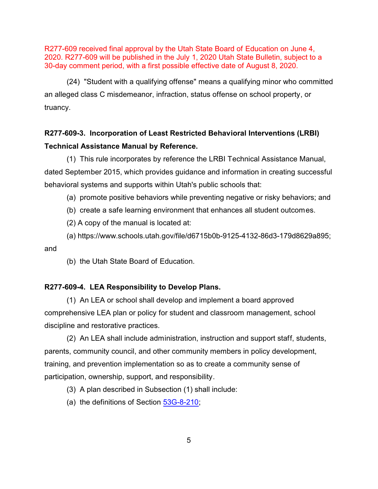(24) "Student with a qualifying offense" means a qualifying minor who committed an alleged class C misdemeanor, infraction, status offense on school property, or truancy.

# **R277-609-3. Incorporation of Least Restricted Behavioral Interventions (LRBI) Technical Assistance Manual by Reference.**

(1) This rule incorporates by reference the LRBI Technical Assistance Manual, dated September 2015, which provides guidance and information in creating successful behavioral systems and supports within Utah's public schools that:

(a) promote positive behaviors while preventing negative or risky behaviors; and

(b) create a safe learning environment that enhances all student outcomes.

(2) A copy of the manual is located at:

(a) [https://www.schools.utah.gov/file/d6715b0b-9125-4132-86d3-179d8629a895;](https://www.schools.utah.gov/file/d6715b0b-9125-4132-86d3-179d8629a895) and

(b) the Utah State Board of Education.

#### **R277-609-4. LEA Responsibility to Develop Plans.**

(1) An LEA or school shall develop and implement a board approved comprehensive LEA plan or policy for student and classroom management, school discipline and restorative practices.

(2) An LEA shall include administration, instruction and support staff, students, parents, community council, and other community members in policy development, training, and prevention implementation so as to create a community sense of participation, ownership, support, and responsibility.

(3) A plan described in Subsection (1) shall include:

(a) the definitions of Section [53G-8-210](https://le.utah.gov/xcode/Title53G/Chapter8/53G-8-S210.html?v=C53G-8-S210_2019051420190514);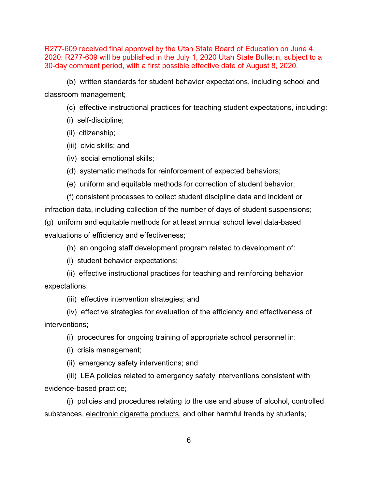(b) written standards for student behavior expectations, including school and classroom management;

(c) effective instructional practices for teaching student expectations, including:

(i) self-discipline;

(ii) citizenship;

(iii) civic skills; and

(iv) social emotional skills;

(d) systematic methods for reinforcement of expected behaviors;

(e) uniform and equitable methods for correction of student behavior;

(f) consistent processes to collect student discipline data and incident or infraction data, including collection of the number of days of student suspensions; (g) uniform and equitable methods for at least annual school level data-based evaluations of efficiency and effectiveness;

(h) an ongoing staff development program related to development of:

(i) student behavior expectations;

(ii) effective instructional practices for teaching and reinforcing behavior expectations;

(iii) effective intervention strategies; and

(iv) effective strategies for evaluation of the efficiency and effectiveness of interventions;

(i) procedures for ongoing training of appropriate school personnel in:

(i) crisis management;

(ii) emergency safety interventions; and

(iii) LEA policies related to emergency safety interventions consistent with evidence-based practice;

(j) policies and procedures relating to the use and abuse of alcohol, controlled substances, electronic cigarette products, and other harmful trends by students;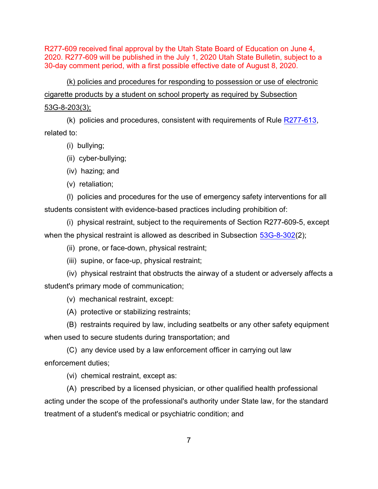(k) policies and procedures for responding to possession or use of electronic cigarette products by a student on school property as required by Subsection 53G-8-203(3);

(k) policies and procedures, consistent with requirements of Rule [R277-613](https://schools.utah.gov/file/e865c120-9b88-402b-b7a5-f68f6166a21f), related to:

- (i) bullying;
- (ii) cyber-bullying;
- (iv) hazing; and
- (v) retaliation;

(l) policies and procedures for the use of emergency safety interventions for all students consistent with evidence-based practices including prohibition of:

(i) physical restraint, subject to the requirements of Section R277-609-5, except when the physical restraint is allowed as described in Subsection [53G-8-302](https://le.utah.gov/xcode/Title53G/Chapter8/53G-8-S302.html?v=C53G-8-S302_2019051420190514)(2);

- (ii) prone, or face-down, physical restraint;
- (iii) supine, or face-up, physical restraint;

(iv) physical restraint that obstructs the airway of a student or adversely affects a student's primary mode of communication;

(v) mechanical restraint, except:

(A) protective or stabilizing restraints;

(B) restraints required by law, including seatbelts or any other safety equipment when used to secure students during transportation; and

(C) any device used by a law enforcement officer in carrying out law enforcement duties;

(vi) chemical restraint, except as:

(A) prescribed by a licensed physician, or other qualified health professional acting under the scope of the professional's authority under State law, for the standard treatment of a student's medical or psychiatric condition; and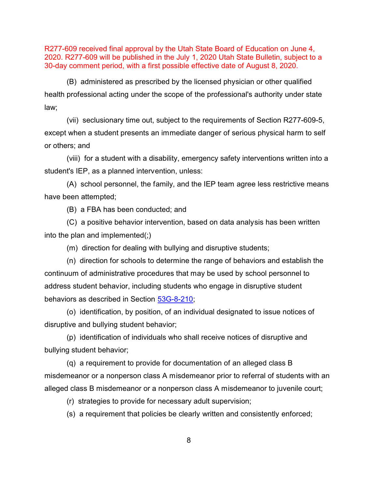(B) administered as prescribed by the licensed physician or other qualified health professional acting under the scope of the professional's authority under state law;

(vii) seclusionary time out, subject to the requirements of Section R277-609-5, except when a student presents an immediate danger of serious physical harm to self or others; and

(viii) for a student with a disability, emergency safety interventions written into a student's IEP, as a planned intervention, unless:

(A) school personnel, the family, and the IEP team agree less restrictive means have been attempted;

(B) a FBA has been conducted; and

(C) a positive behavior intervention, based on data analysis has been written into the plan and implemented(;)

(m) direction for dealing with bullying and disruptive students;

(n) direction for schools to determine the range of behaviors and establish the continuum of administrative procedures that may be used by school personnel to address student behavior, including students who engage in disruptive student behaviors as described in Section [53G-8-210](https://le.utah.gov/xcode/Title53G/Chapter8/53G-8-S210.html?v=C53G-8-S210_2019051420190514);

(o) identification, by position, of an individual designated to issue notices of disruptive and bullying student behavior;

(p) identification of individuals who shall receive notices of disruptive and bullying student behavior;

(q) a requirement to provide for documentation of an alleged class B misdemeanor or a nonperson class A misdemeanor prior to referral of students with an alleged class B misdemeanor or a nonperson class A misdemeanor to juvenile court;

(r) strategies to provide for necessary adult supervision;

(s) a requirement that policies be clearly written and consistently enforced;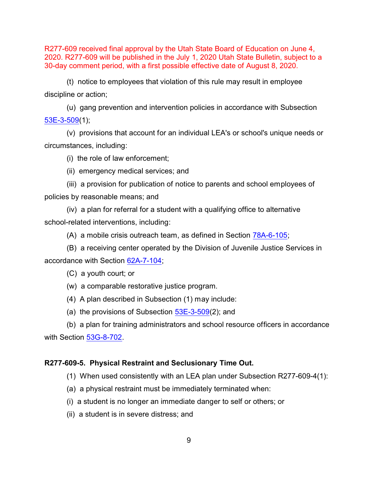(t) notice to employees that violation of this rule may result in employee discipline or action;

(u) gang prevention and intervention policies in accordance with Subsection [53E-3-509](https://le.utah.gov/xcode/Title53E/Chapter3/53E-3-S509.html?v=C53E-3-S509_2019051420190514)(1);

(v) provisions that account for an individual LEA's or school's unique needs or circumstances, including:

(i) the role of law enforcement;

(ii) emergency medical services; and

(iii) a provision for publication of notice to parents and school employees of policies by reasonable means; and

(iv) a plan for referral for a student with a qualifying office to alternative school-related interventions, including:

(A) a mobile crisis outreach team, as defined in Section [78A-6-105](https://le.utah.gov/xcode/Title78A/Chapter6/78A-6-S105.html?v=C78A-6-S105_2019051420190514);

(B) a receiving center operated by the Division of Juvenile Justice Services in accordance with Section [62A-7-104](https://le.utah.gov/xcode/Title62A/Chapter7/62A-7-S104.html?v=C62A-7-S104_2019051420190514);

(C) a youth court; or

(w) a comparable restorative justice program.

(4) A plan described in Subsection (1) may include:

(a) the provisions of Subsection  $53E-3-509(2)$ ; and

(b) a plan for training administrators and school resource officers in accordance with Section [53G-8-702](https://le.utah.gov/xcode/Title53G/Chapter8/53G-8-S702.html?v=C53G-8-S702_2019051420190514).

#### **R277-609-5. Physical Restraint and Seclusionary Time Out.**

(1) When used consistently with an LEA plan under Subsection R277-609-4(1):

(a) a physical restraint must be immediately terminated when:

(i) a student is no longer an immediate danger to self or others; or

(ii) a student is in severe distress; and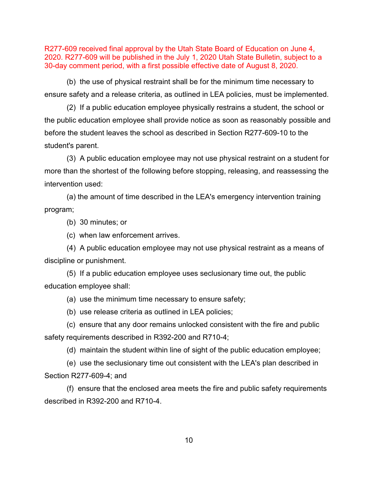(b) the use of physical restraint shall be for the minimum time necessary to ensure safety and a release criteria, as outlined in LEA policies, must be implemented.

(2) If a public education employee physically restrains a student, the school or the public education employee shall provide notice as soon as reasonably possible and before the student leaves the school as described in Section R277-609-10 to the student's parent.

(3) A public education employee may not use physical restraint on a student for more than the shortest of the following before stopping, releasing, and reassessing the intervention used:

(a) the amount of time described in the LEA's emergency intervention training program;

(b) 30 minutes; or

(c) when law enforcement arrives.

(4) A public education employee may not use physical restraint as a means of discipline or punishment.

(5) If a public education employee uses seclusionary time out, the public education employee shall:

(a) use the minimum time necessary to ensure safety;

(b) use release criteria as outlined in LEA policies;

(c) ensure that any door remains unlocked consistent with the fire and public safety requirements described in R392-200 and R710-4;

(d) maintain the student within line of sight of the public education employee;

(e) use the seclusionary time out consistent with the LEA's plan described in Section R277-609-4; and

(f) ensure that the enclosed area meets the fire and public safety requirements described in R392-200 and R710-4.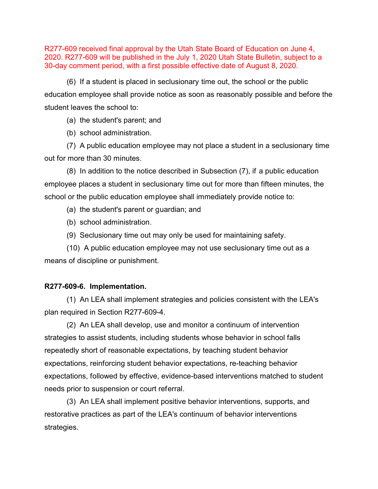(6) If a student is placed in seclusionary time out, the school or the public education employee shall provide notice as soon as reasonably possible and before the student leaves the school to:

(a) the student's parent; and

(b) school administration.

(7) A public education employee may not place a student in a seclusionary time out for more than 30 minutes.

(8) In addition to the notice described in Subsection (7), if a public education employee places a student in seclusionary time out for more than fifteen minutes, the school or the public education employee shall immediately provide notice to:

- (a) the student's parent or guardian; and
- (b) school administration.
- (9) Seclusionary time out may only be used for maintaining safety.

(10) A public education employee may not use seclusionary time out as a means of discipline or punishment.

#### **R277-609-6. Implementation.**

(1) An LEA shall implement strategies and policies consistent with the LEA's plan required in Section R277-609-4.

(2) An LEA shall develop, use and monitor a continuum of intervention strategies to assist students, including students whose behavior in school falls repeatedly short of reasonable expectations, by teaching student behavior expectations, reinforcing student behavior expectations, re-teaching behavior expectations, followed by effective, evidence-based interventions matched to student needs prior to suspension or court referral.

(3) An LEA shall implement positive behavior interventions, supports, and restorative practices as part of the LEA's continuum of behavior interventions strategies.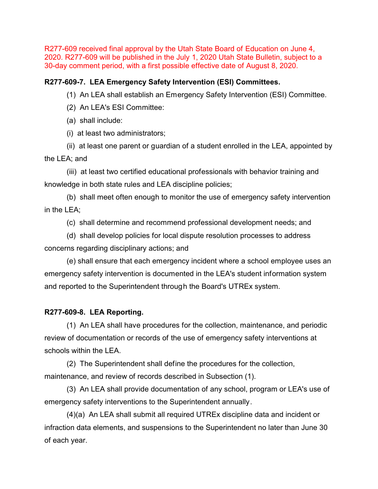# **R277-609-7. LEA Emergency Safety Intervention (ESI) Committees.**

(1) An LEA shall establish an Emergency Safety Intervention (ESI) Committee.

- (2) An LEA's ESI Committee:
- (a) shall include:
- (i) at least two administrators;

(ii) at least one parent or guardian of a student enrolled in the LEA, appointed by the LEA; and

(iii) at least two certified educational professionals with behavior training and knowledge in both state rules and LEA discipline policies;

(b) shall meet often enough to monitor the use of emergency safety intervention in the LEA;

(c) shall determine and recommend professional development needs; and

(d) shall develop policies for local dispute resolution processes to address concerns regarding disciplinary actions; and

(e) shall ensure that each emergency incident where a school employee uses an emergency safety intervention is documented in the LEA's student information system and reported to the Superintendent through the Board's UTREx system.

# **R277-609-8. LEA Reporting.**

(1) An LEA shall have procedures for the collection, maintenance, and periodic review of documentation or records of the use of emergency safety interventions at schools within the LEA.

(2) The Superintendent shall define the procedures for the collection, maintenance, and review of records described in Subsection (1).

(3) An LEA shall provide documentation of any school, program or LEA's use of emergency safety interventions to the Superintendent annually.

(4)(a) An LEA shall submit all required UTREx discipline data and incident or infraction data elements, and suspensions to the Superintendent no later than June 30 of each year.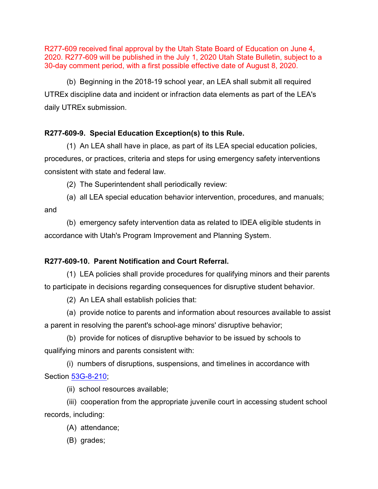(b) Beginning in the 2018-19 school year, an LEA shall submit all required UTREx discipline data and incident or infraction data elements as part of the LEA's daily UTREx submission.

# **R277-609-9. Special Education Exception(s) to this Rule.**

(1) An LEA shall have in place, as part of its LEA special education policies, procedures, or practices, criteria and steps for using emergency safety interventions consistent with state and federal law.

- (2) The Superintendent shall periodically review:
- (a) all LEA special education behavior intervention, procedures, and manuals; and

(b) emergency safety intervention data as related to IDEA eligible students in accordance with Utah's Program Improvement and Planning System.

# **R277-609-10. Parent Notification and Court Referral.**

(1) LEA policies shall provide procedures for qualifying minors and their parents to participate in decisions regarding consequences for disruptive student behavior.

(2) An LEA shall establish policies that:

(a) provide notice to parents and information about resources available to assist a parent in resolving the parent's school-age minors' disruptive behavior;

(b) provide for notices of disruptive behavior to be issued by schools to qualifying minors and parents consistent with:

(i) numbers of disruptions, suspensions, and timelines in accordance with Section [53G-8-210](https://le.utah.gov/xcode/Title53G/Chapter8/53G-8-S210.html?v=C53G-8-S210_2019051420190514);

(ii) school resources available;

(iii) cooperation from the appropriate juvenile court in accessing student school records, including:

- (A) attendance;
- (B) grades;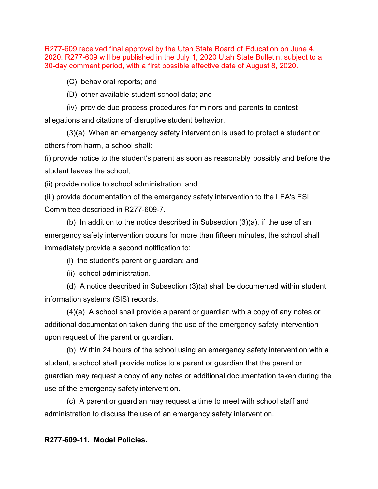(C) behavioral reports; and

(D) other available student school data; and

(iv) provide due process procedures for minors and parents to contest allegations and citations of disruptive student behavior.

(3)(a) When an emergency safety intervention is used to protect a student or others from harm, a school shall:

(i) provide notice to the student's parent as soon as reasonably possibly and before the student leaves the school;

(ii) provide notice to school administration; and

(iii) provide documentation of the emergency safety intervention to the LEA's ESI Committee described in R277-609-7.

(b) In addition to the notice described in Subsection (3)(a), if the use of an emergency safety intervention occurs for more than fifteen minutes, the school shall immediately provide a second notification to:

(i) the student's parent or guardian; and

(ii) school administration.

(d) A notice described in Subsection (3)(a) shall be documented within student information systems (SIS) records.

(4)(a) A school shall provide a parent or guardian with a copy of any notes or additional documentation taken during the use of the emergency safety intervention upon request of the parent or guardian.

(b) Within 24 hours of the school using an emergency safety intervention with a student, a school shall provide notice to a parent or guardian that the parent or guardian may request a copy of any notes or additional documentation taken during the use of the emergency safety intervention.

(c) A parent or guardian may request a time to meet with school staff and administration to discuss the use of an emergency safety intervention.

**R277-609-11. Model Policies.**